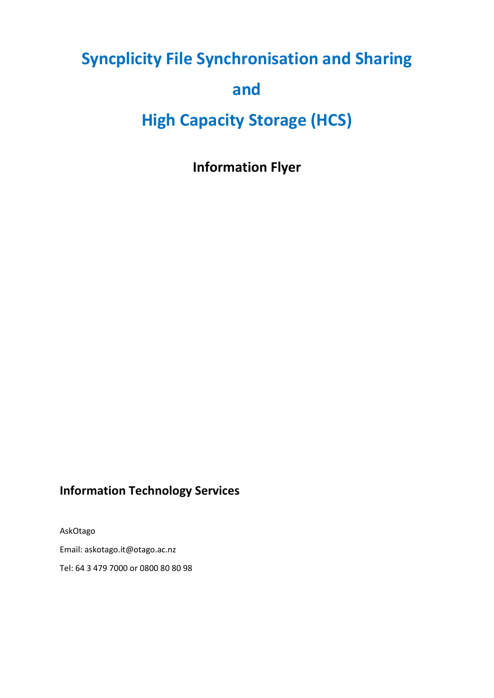# **Syncplicity File Synchronisation and Sharing** and

## **High Capacity Storage (HCS)**

**Information Flyer** 

## **Information Technology Services**

AskOtago Email: askotago.it@otago.ac.nz Tel: 64 3 479 7000 or 0800 80 80 98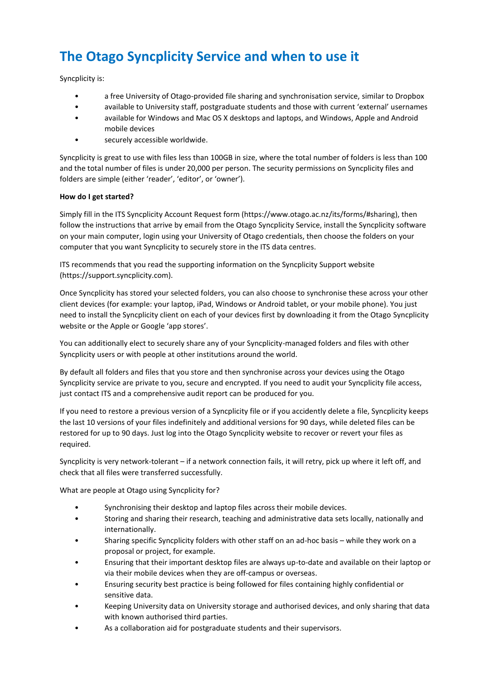## **The Otago Syncplicity Service and when to use it**

Syncplicity is:

- a free University of Otago-provided file sharing and synchronisation service, similar to Dropbox
- available to University staff, postgraduate students and those with current 'external' usernames
- available for Windows and Mac OS X desktops and laptops, and Windows, Apple and Android mobile devices
- securely accessible worldwide.

Syncplicity is great to use with files less than 100GB in size, where the total number of folders is less than 100 and the total number of files is under 20,000 per person. The security permissions on Syncplicity files and folders are simple (either 'reader', 'editor', or 'owner').

#### **How do I get started?**

Simply fill in the ITS Syncplicity Account Request form (https://www.otago.ac.nz/its/forms/#sharing), then follow the instructions that arrive by email from the Otago Syncplicity Service, install the Syncplicity software on your main computer, login using your University of Otago credentials, then choose the folders on your computer that you want Syncplicity to securely store in the ITS data centres.

ITS recommends that you read the supporting information on the Syncplicity Support website (https://support.syncplicity.com).

Once Syncplicity has stored your selected folders, you can also choose to synchronise these across your other client devices (for example: your laptop, iPad, Windows or Android tablet, or your mobile phone). You just need to install the Syncplicity client on each of your devices first by downloading it from the Otago Syncplicity website or the Apple or Google 'app stores'.

You can additionally elect to securely share any of your Syncplicity-managed folders and files with other Syncplicity users or with people at other institutions around the world.

By default all folders and files that you store and then synchronise across your devices using the Otago Syncplicity service are private to you, secure and encrypted. If you need to audit your Syncplicity file access, just contact ITS and a comprehensive audit report can be produced for you.

If you need to restore a previous version of a Syncplicity file or if you accidently delete a file, Syncplicity keeps the last 10 versions of your files indefinitely and additional versions for 90 days, while deleted files can be restored for up to 90 days. Just log into the Otago Syncplicity website to recover or revert your files as required.

Syncplicity is very network-tolerant – if a network connection fails, it will retry, pick up where it left off, and check that all files were transferred successfully.

What are people at Otago using Syncplicity for?

- Synchronising their desktop and laptop files across their mobile devices.
- Storing and sharing their research, teaching and administrative data sets locally, nationally and internationally.
- Sharing specific Syncplicity folders with other staff on an ad-hoc basis while they work on a proposal or project, for example.
- Ensuring that their important desktop files are always up-to-date and available on their laptop or via their mobile devices when they are off-campus or overseas.
- Ensuring security best practice is being followed for files containing highly confidential or sensitive data.
- Keeping University data on University storage and authorised devices, and only sharing that data with known authorised third parties.
- As a collaboration aid for postgraduate students and their supervisors.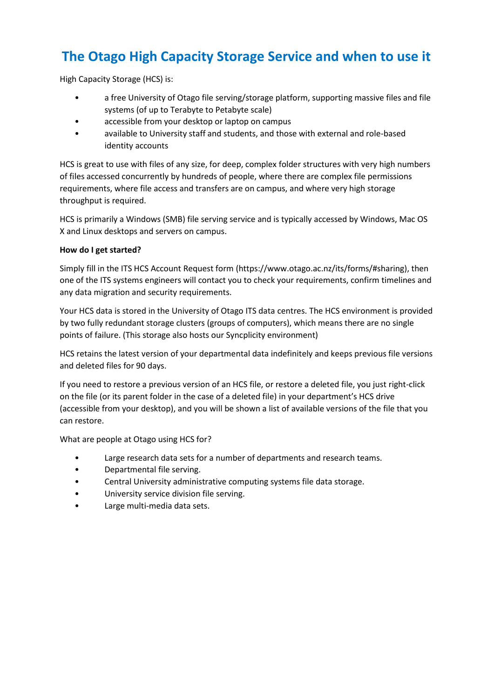## **The Otago High Capacity Storage Service and when to use it**

High Capacity Storage (HCS) is:

- a free University of Otago file serving/storage platform, supporting massive files and file systems (of up to Terabyte to Petabyte scale)
- accessible from your desktop or laptop on campus
- available to University staff and students, and those with external and role-based identity accounts

HCS is great to use with files of any size, for deep, complex folder structures with very high numbers of files accessed concurrently by hundreds of people, where there are complex file permissions requirements, where file access and transfers are on campus, and where very high storage throughput is required.

HCS is primarily a Windows (SMB) file serving service and is typically accessed by Windows, Mac OS X and Linux desktops and servers on campus.

#### **How do I get started?**

Simply fill in the ITS HCS Account Request form (https://www.otago.ac.nz/its/forms/#sharing), then one of the ITS systems engineers will contact you to check your requirements, confirm timelines and any data migration and security requirements.

Your HCS data is stored in the University of Otago ITS data centres. The HCS environment is provided by two fully redundant storage clusters (groups of computers), which means there are no single points of failure. (This storage also hosts our Syncplicity environment)

HCS retains the latest version of your departmental data indefinitely and keeps previous file versions and deleted files for 90 days.

If you need to restore a previous version of an HCS file, or restore a deleted file, you just right-click on the file (or its parent folder in the case of a deleted file) in your department's HCS drive (accessible from your desktop), and you will be shown a list of available versions of the file that you can restore.

What are people at Otago using HCS for?

- Large research data sets for a number of departments and research teams.
- Departmental file serving.
- Central University administrative computing systems file data storage.
- University service division file serving.
- Large multi-media data sets.